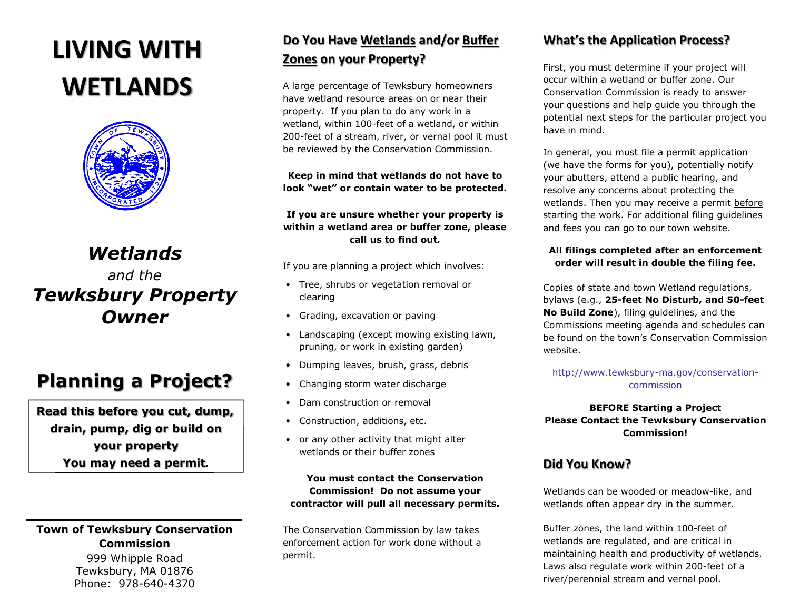# **LIVING WITHWETLANDS**



# *Wetlands and the Tewksbury Property Owner*

# **Planning a Project?**

**Read this before you cut, dump, drain, pump, dig or build on your property You may need a permit***.*

### **Town of Tewksbury Conservation Commission**

999 Whipple Road Tewksbury, MA 01876 Phone: 978-640-4370

# **Do You Have Wetlands and/or Buffer Zones on your Property?**

A large percentage of Tewksbury homeowners have wetland resource areas on or near their property. If you plan to do any work in a wetland, within 100-feet of a wetland, or within 200-feet of a stream, river, or vernal pool it must be reviewed by the Conservation Commission.

**Keep in mind that wetlands do not have to look "wet" or contain water to be protected.**

**If you are unsure whether your property is within a wetland area or buffer zone, please call us to find out***.* 

If you are planning a project which involves:

- Tree, shrubs or vegetation removal or clearing
- Grading, excavation or paving
- Landscaping (except mowing existing lawn, pruning, or work in existing garden)
- Dumping leaves, brush, grass, debris
- •Changing storm water discharge
- Dam construction or removal
- •Construction, additions, etc.
- or any other activity that might alter wetlands or their buffer zones

#### **You must contact the Conservation Commission! Do not assume your contractor will pull all necessary permits.**

The Conservation Commission by law takes enforcement action for work done without a permit.

# **What's the Application Process?**

First, you must determine if your project will occur within a wetland or buffer zone. Our Conservation Commission is ready to answer your questions and help guide you through the potential next steps for the particular project you have in mind.

In general, you must file a permit application (we have the forms for you), potentially notify your abutters, attend a public hearing, and resolve any concerns about protecting the wetlands. Then you may receive a permit before starting the work. For additional filing guidelinesand fees you can go to our town website.

#### **All filings completed after an enforcement order will result in double the filing fee.**

Copies of state and town Wetland regulations, bylaws (e.g., **25-feet No Disturb, and 50-feet No Build Zone**), filing guidelines, and the Commissions meeting agenda and schedules can be found on the town's Conservation Commission website.

#### http://www.tewksbury-ma.gov/conservationcommission

#### **BEFORE Starting a Project Please Contact the Tewksbury Conservation Commission!**

# **Did You Know?**

Wetlands can be wooded or meadow-like, and wetlands often appear dry in the summer.

Buffer zones, the land within 100-feet of wetlands are regulated, and are critical in maintaining health and productivity of wetlands. Laws also regulate work within 200-feet of a river/perennial stream and vernal pool.